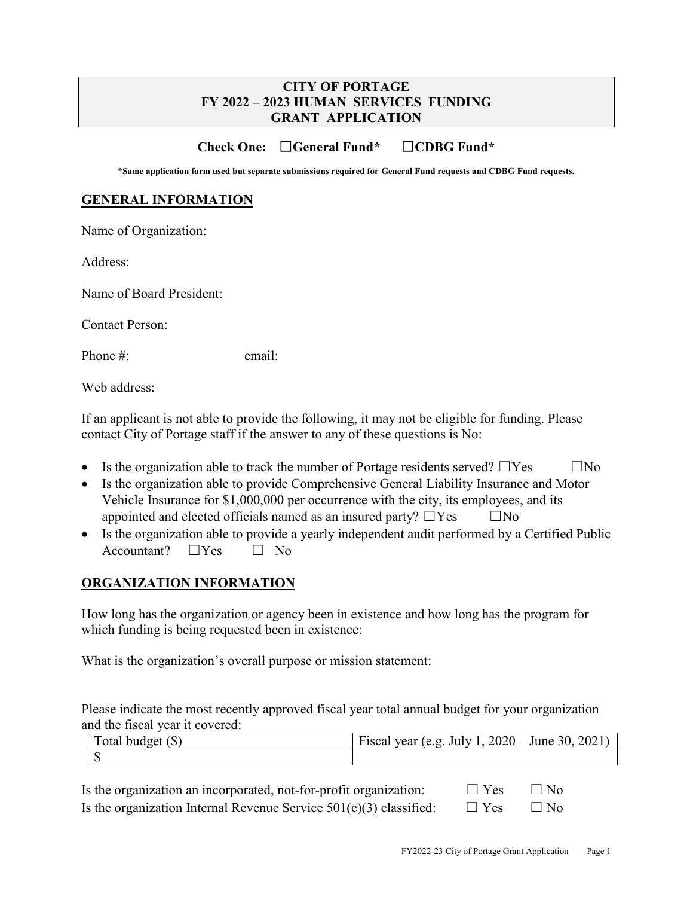## **CITY OF PORTAGE FY 2022 – 2023 HUMAN SERVICES FUNDING GRANT APPLICATION**

## **Check One:** ☐**General Fund\*** ☐**CDBG Fund\***

**\*Same application form used but separate submissions required for General Fund requests and CDBG Fund requests.**

#### **GENERAL INFORMATION**

Name of Organization:

Address:

Name of Board President:

Contact Person:

Phone #: email:

Web address:

If an applicant is not able to provide the following, it may not be eligible for funding. Please contact City of Portage staff if the answer to any of these questions is No:

- Is the organization able to track the number of Portage residents served?  $\Box$  Yes  $\Box$  No
- Is the organization able to provide Comprehensive General Liability Insurance and Motor Vehicle Insurance for \$1,000,000 per occurrence with the city, its employees, and its appointed and elected officials named as an insured party?  $\Box$ Yes  $\Box$ No
- Is the organization able to provide a yearly independent audit performed by a Certified Public  $Accountant?$   $\square Yes$   $\square$  No

#### **ORGANIZATION INFORMATION**

How long has the organization or agency been in existence and how long has the program for which funding is being requested been in existence:

What is the organization's overall purpose or mission statement:

Please indicate the most recently approved fiscal year total annual budget for your organization and the fiscal year it covered:

| Total budget $(\$)$ | Fiscal year (e.g. July 1, $2020 -$ June 30, 2021) |  |  |
|---------------------|---------------------------------------------------|--|--|
|                     |                                                   |  |  |

| Is the organization an incorporated, not-for-profit organization:    | $\Box$ Yes $\Box$ No |           |  |
|----------------------------------------------------------------------|----------------------|-----------|--|
| Is the organization Internal Revenue Service $501(c)(3)$ classified: | $\Box$ Yes           | $\Box$ No |  |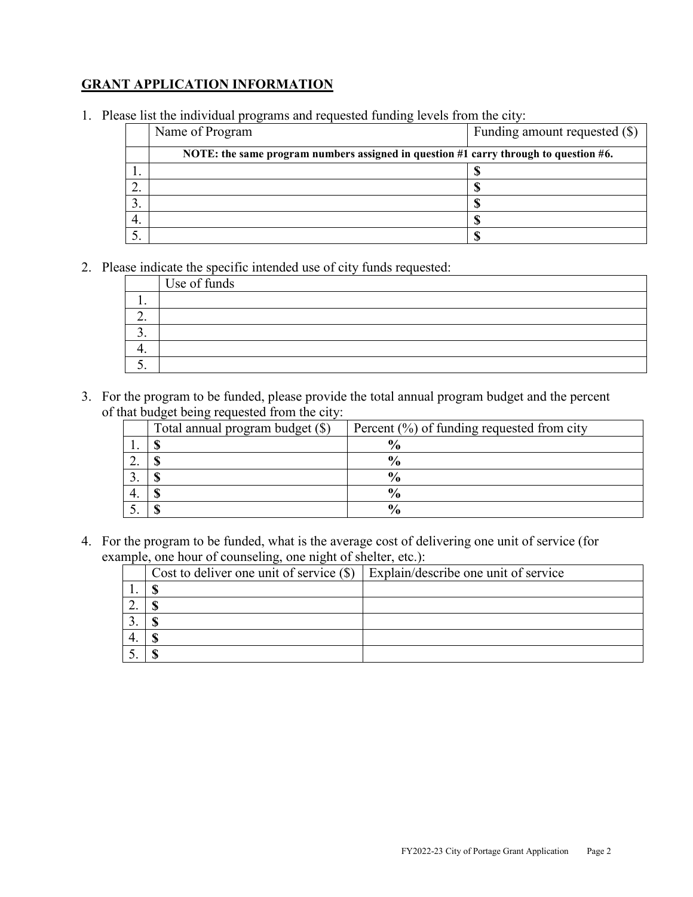# **GRANT APPLICATION INFORMATION**

1. Please list the individual programs and requested funding levels from the city:

|     | Name of Program                                                                      | Funding amount requested (\$) |
|-----|--------------------------------------------------------------------------------------|-------------------------------|
|     | NOTE: the same program numbers assigned in question #1 carry through to question #6. |                               |
| . . |                                                                                      |                               |
| ۷.  |                                                                                      |                               |
|     |                                                                                      |                               |
| 4.  |                                                                                      |                               |
|     |                                                                                      |                               |

2. Please indicate the specific intended use of city funds requested:

|     | Use of funds |
|-----|--------------|
|     |              |
| ـ ت |              |
|     |              |
|     |              |
|     |              |

3. For the program to be funded, please provide the total annual program budget and the percent of that budget being requested from the city:

| Total annual program budget (\$) | Percent $(\%)$ of funding requested from city |
|----------------------------------|-----------------------------------------------|
|                                  | $\frac{0}{6}$                                 |
|                                  | $\frac{0}{0}$                                 |
|                                  | $\frac{0}{0}$                                 |
|                                  | $\frac{0}{0}$                                 |
|                                  | $\frac{0}{0}$                                 |

4. For the program to be funded, what is the average cost of delivering one unit of service (for example, one hour of counseling, one night of shelter, etc.):

| Cost to deliver one unit of service $(\$)$ | Explain/describe one unit of service |  |  |
|--------------------------------------------|--------------------------------------|--|--|
|                                            |                                      |  |  |
|                                            |                                      |  |  |
|                                            |                                      |  |  |
|                                            |                                      |  |  |
|                                            |                                      |  |  |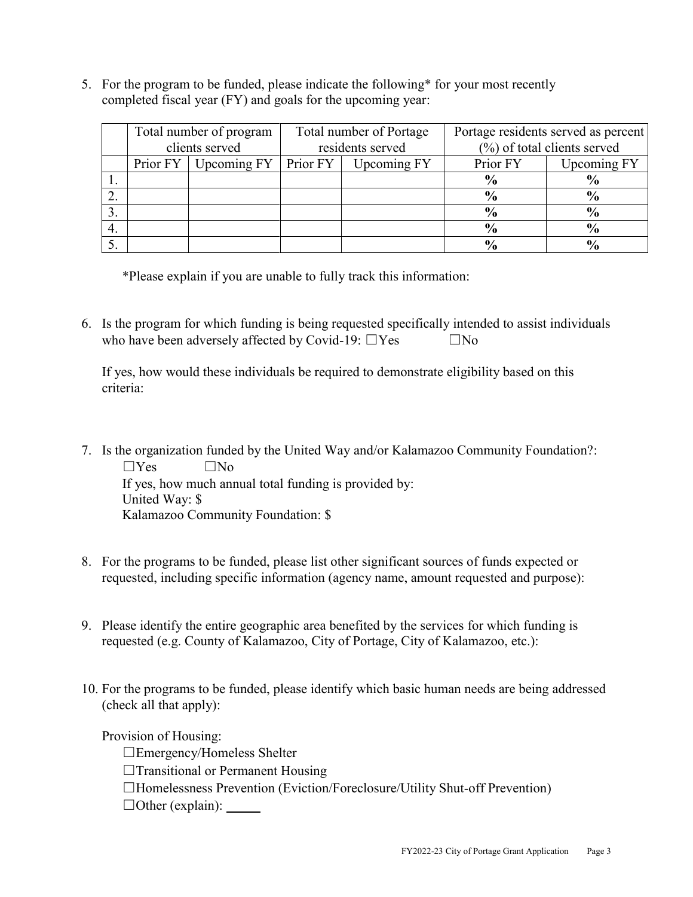5. For the program to be funded, please indicate the following\* for your most recently completed fiscal year (FY) and goals for the upcoming year:

|    | Total number of program<br>Total number of Portage<br>clients served<br>residents served |             |          | Portage residents served as percent<br>$(\%)$ of total clients served |               |                    |
|----|------------------------------------------------------------------------------------------|-------------|----------|-----------------------------------------------------------------------|---------------|--------------------|
|    |                                                                                          |             |          |                                                                       |               |                    |
|    | Prior FY                                                                                 | Upcoming FY | Prior FY | Upcoming FY                                                           | Prior FY      | <b>Upcoming FY</b> |
|    |                                                                                          |             |          |                                                                       | $\frac{6}{9}$ | $\frac{6}{9}$      |
|    |                                                                                          |             |          |                                                                       | $\frac{6}{9}$ | $\frac{0}{0}$      |
| 3. |                                                                                          |             |          |                                                                       | $\frac{6}{9}$ | $\frac{6}{9}$      |
| 4. |                                                                                          |             |          |                                                                       | $\frac{6}{9}$ | $\frac{0}{0}$      |
|    |                                                                                          |             |          |                                                                       | $\frac{0}{4}$ | $\frac{0}{4}$      |

\*Please explain if you are unable to fully track this information:

6. Is the program for which funding is being requested specifically intended to assist individuals who have been adversely affected by Covid-19:  $\square$  Yes  $\square$  No

If yes, how would these individuals be required to demonstrate eligibility based on this criteria:

- 7. Is the organization funded by the United Way and/or Kalamazoo Community Foundation?:  $\Box$ Yes  $\Box$ No If yes, how much annual total funding is provided by: United Way: \$ Kalamazoo Community Foundation: \$
- 8. For the programs to be funded, please list other significant sources of funds expected or requested, including specific information (agency name, amount requested and purpose):
- 9. Please identify the entire geographic area benefited by the services for which funding is requested (e.g. County of Kalamazoo, City of Portage, City of Kalamazoo, etc.):
- 10. For the programs to be funded, please identify which basic human needs are being addressed (check all that apply):

Provision of Housing:

☐Emergency/Homeless Shelter

- □Transitional or Permanent Housing
- ☐Homelessness Prevention (Eviction/Foreclosure/Utility Shut-off Prevention)

 $\Box$ Other (explain):  $\Box$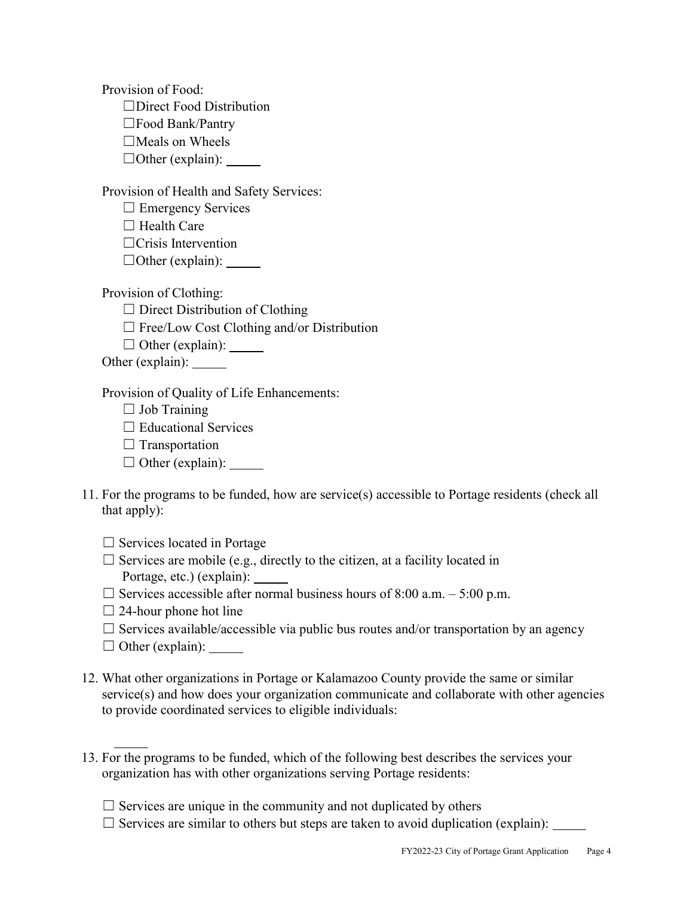Provision of Food: ☐Direct Food Distribution ☐Food Bank/Pantry  $\Box$ Meals on Wheels  $\Box$ Other (explain):

Provision of Health and Safety Services:

□ Emergency Services  $\Box$  Health Care

☐Crisis Intervention

☐Other (explain):

Provision of Clothing:

 $\Box$  Direct Distribution of Clothing

- $\Box$  Free/Low Cost Clothing and/or Distribution
- $\Box$  Other (explain):

Other (explain):

Provision of Quality of Life Enhancements:

 $\Box$  Job Training

 $\Box$  Educational Services

 $\Box$  Transportation

 $\Box$  Other (explain):

11. For the programs to be funded, how are service(s) accessible to Portage residents (check all that apply):

 $\Box$  Services located in Portage

 $\Box$  Services are mobile (e.g., directly to the citizen, at a facility located in Portage, etc.) (explain):

 $\Box$  Services accessible after normal business hours of 8:00 a.m. – 5:00 p.m.

 $\Box$  24-hour phone hot line

 $\Box$  Services available/accessible via public bus routes and/or transportation by an agency

 $\Box$  Other (explain):

- 12. What other organizations in Portage or Kalamazoo County provide the same or similar service(s) and how does your organization communicate and collaborate with other agencies to provide coordinated services to eligible individuals:
- 13. For the programs to be funded, which of the following best describes the services your organization has with other organizations serving Portage residents:
	- $\Box$  Services are unique in the community and not duplicated by others
	- $\Box$  Services are similar to others but steps are taken to avoid duplication (explain):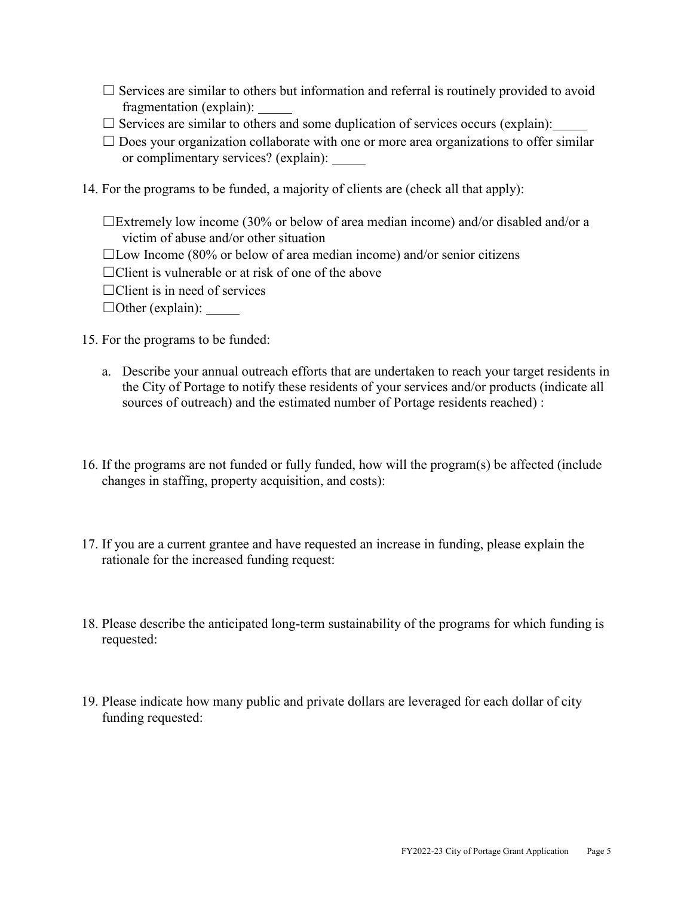- $\Box$  Services are similar to others but information and referral is routinely provided to avoid fragmentation (explain):
- $\Box$  Services are similar to others and some duplication of services occurs (explain):
- $\Box$  Does your organization collaborate with one or more area organizations to offer similar or complimentary services? (explain):
- 14. For the programs to be funded, a majority of clients are (check all that apply):
	- ☐Extremely low income (30% or below of area median income) and/or disabled and/or a victim of abuse and/or other situation
	- $\Box$ Low Income (80% or below of area median income) and/or senior citizens
	- $\Box$ Client is vulnerable or at risk of one of the above
	- $\Box$ Client is in need of services
	- $\Box$ Other (explain):
- 15. For the programs to be funded:
	- a. Describe your annual outreach efforts that are undertaken to reach your target residents in the City of Portage to notify these residents of your services and/or products (indicate all sources of outreach) and the estimated number of Portage residents reached) :
- 16. If the programs are not funded or fully funded, how will the program(s) be affected (include changes in staffing, property acquisition, and costs):
- 17. If you are a current grantee and have requested an increase in funding, please explain the rationale for the increased funding request:
- 18. Please describe the anticipated long-term sustainability of the programs for which funding is requested:
- 19. Please indicate how many public and private dollars are leveraged for each dollar of city funding requested: